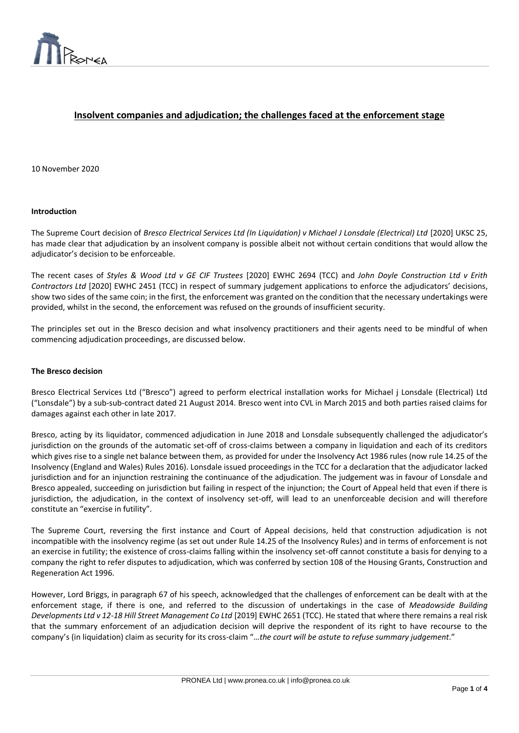

# **Insolvent companies and adjudication; the challenges faced at the enforcement stage**

 $\overline{a}$ 

10 November 2020

#### **Introduction**

The Supreme Court decision of *Bresco Electrical Services Ltd (In Liquidation) v Michael J Lonsdale (Electrical) Ltd* [2020] UKSC 25, has made clear that adjudication by an insolvent company is possible albeit not without certain conditions that would allow the adjudicator's decision to be enforceable.

The recent cases of *Styles & Wood Ltd v GE CIF Trustees* [2020] EWHC 2694 (TCC) and *John Doyle Construction Ltd v Erith Contractors Ltd* [2020] EWHC 2451 (TCC) in respect of summary judgement applications to enforce the adjudicators' decisions, show two sides of the same coin; in the first, the enforcement was granted on the condition that the necessary undertakings were provided, whilst in the second, the enforcement was refused on the grounds of insufficient security.

The principles set out in the Bresco decision and what insolvency practitioners and their agents need to be mindful of when commencing adjudication proceedings, are discussed below.

#### **The Bresco decision**

Bresco Electrical Services Ltd ("Bresco") agreed to perform electrical installation works for Michael j Lonsdale (Electrical) Ltd ("Lonsdale") by a sub-sub-contract dated 21 August 2014. Bresco went into CVL in March 2015 and both parties raised claims for damages against each other in late 2017.

Bresco, acting by its liquidator, commenced adjudication in June 2018 and Lonsdale subsequently challenged the adjudicator's jurisdiction on the grounds of the automatic set-off of cross-claims between a company in liquidation and each of its creditors which gives rise to a single net balance between them, as provided for under the Insolvency Act 1986 rules (now rule 14.25 of the Insolvency (England and Wales) Rules 2016). Lonsdale issued proceedings in the TCC for a declaration that the adjudicator lacked jurisdiction and for an injunction restraining the continuance of the adjudication. The judgement was in favour of Lonsdale and Bresco appealed, succeeding on jurisdiction but failing in respect of the injunction; the Court of Appeal held that even if there is jurisdiction, the adjudication, in the context of insolvency set-off, will lead to an unenforceable decision and will therefore constitute an "exercise in futility".

The Supreme Court, reversing the first instance and Court of Appeal decisions, held that construction adjudication is not incompatible with the insolvency regime (as set out under Rule 14.25 of the Insolvency Rules) and in terms of enforcement is not an exercise in futility; the existence of cross-claims falling within the insolvency set-off cannot constitute a basis for denying to a company the right to refer disputes to adjudication, which was conferred by section 108 of the Housing Grants, Construction and Regeneration Act 1996.

However, Lord Briggs, in paragraph 67 of his speech, acknowledged that the challenges of enforcement can be dealt with at the enforcement stage, if there is one, and referred to the discussion of undertakings in the case of *Meadowside Building Developments Ltd v 12-18 Hill Street Management Co Ltd* [2019] EWHC 2651 (TCC). He stated that where there remains a real risk that the summary enforcement of an adjudication decision will deprive the respondent of its right to have recourse to the company's (in liquidation) claim as security for its cross-claim "…*the court will be astute to refuse summary judgement*."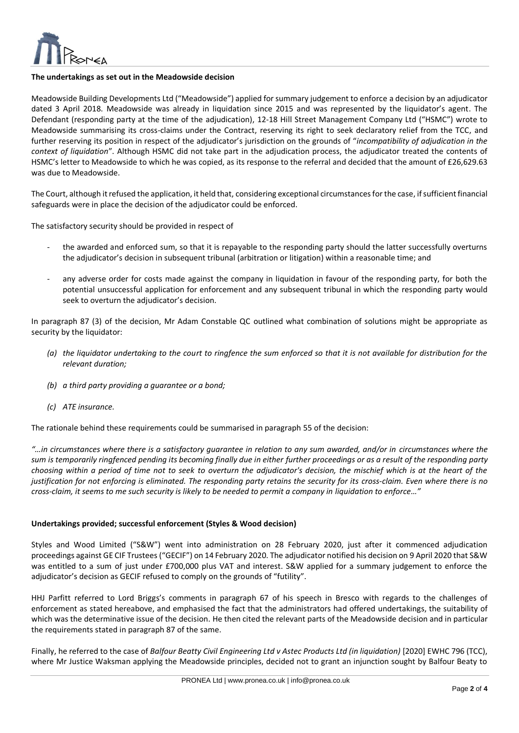

## **The undertakings as set out in the Meadowside decision**

Meadowside Building Developments Ltd ("Meadowside") applied for summary judgement to enforce a decision by an adjudicator dated 3 April 2018. Meadowside was already in liquidation since 2015 and was represented by the liquidator's agent. The Defendant (responding party at the time of the adjudication), 12-18 Hill Street Management Company Ltd ("HSMC") wrote to Meadowside summarising its cross-claims under the Contract, reserving its right to seek declaratory relief from the TCC, and further reserving its position in respect of the adjudicator's jurisdiction on the grounds of "*incompatibility of adjudication in the context of liquidation*". Although HSMC did not take part in the adjudication process, the adjudicator treated the contents of HSMC's letter to Meadowside to which he was copied, as its response to the referral and decided that the amount of £26,629.63 was due to Meadowside.

 $\overline{a}$ 

The Court, although it refused the application, it held that, considering exceptional circumstances for the case, if sufficient financial safeguards were in place the decision of the adjudicator could be enforced.

The satisfactory security should be provided in respect of

- the awarded and enforced sum, so that it is repayable to the responding party should the latter successfully overturns the adjudicator's decision in subsequent tribunal (arbitration or litigation) within a reasonable time; and
- any adverse order for costs made against the company in liquidation in favour of the responding party, for both the potential unsuccessful application for enforcement and any subsequent tribunal in which the responding party would seek to overturn the adjudicator's decision.

In paragraph 87 (3) of the decision, Mr Adam Constable QC outlined what combination of solutions might be appropriate as security by the liquidator:

- *(a) the liquidator undertaking to the court to ringfence the sum enforced so that it is not available for distribution for the relevant duration;*
- *(b) a third party providing a guarantee or a bond;*
- *(c) ATE insurance.*

The rationale behind these requirements could be summarised in paragraph 55 of the decision:

*"…in circumstances where there is a satisfactory guarantee in relation to any sum awarded, and/or in circumstances where the sum is temporarily ringfenced pending its becoming finally due in either further proceedings or as a result of the responding party choosing within a period of time not to seek to overturn the adjudicator's decision, the mischief which is at the heart of the justification for not enforcing is eliminated. The responding party retains the security for its cross-claim. Even where there is no cross-claim, it seems to me such security is likely to be needed to permit a company in liquidation to enforce…"*

## **Undertakings provided; successful enforcement (Styles & Wood decision)**

Styles and Wood Limited ("S&W") went into administration on 28 February 2020, just after it commenced adjudication proceedings against GE CIF Trustees ("GECIF") on 14 February 2020. The adjudicator notified his decision on 9 April 2020 that S&W was entitled to a sum of just under £700,000 plus VAT and interest. S&W applied for a summary judgement to enforce the adjudicator's decision as GECIF refused to comply on the grounds of "futility".

HHJ Parfitt referred to Lord Briggs's comments in paragraph 67 of his speech in Bresco with regards to the challenges of enforcement as stated hereabove, and emphasised the fact that the administrators had offered undertakings, the suitability of which was the determinative issue of the decision. He then cited the relevant parts of the Meadowside decision and in particular the requirements stated in paragraph 87 of the same.

Finally, he referred to the case of *Balfour Beatty Civil Engineering Ltd v Astec Products Ltd (in liquidation)* [2020] EWHC 796 (TCC), where Mr Justice Waksman applying the Meadowside principles, decided not to grant an injunction sought by Balfour Beaty to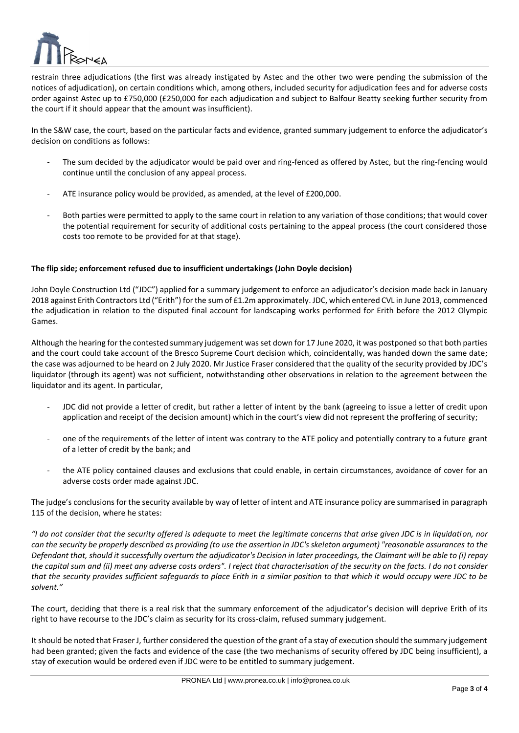

restrain three adjudications (the first was already instigated by Astec and the other two were pending the submission of the notices of adjudication), on certain conditions which, among others, included security for adjudication fees and for adverse costs order against Astec up to £750,000 (£250,000 for each adjudication and subject to Balfour Beatty seeking further security from the court if it should appear that the amount was insufficient).

 $\overline{a}$ 

In the S&W case, the court, based on the particular facts and evidence, granted summary judgement to enforce the adjudicator's decision on conditions as follows:

- The sum decided by the adjudicator would be paid over and ring-fenced as offered by Astec, but the ring-fencing would continue until the conclusion of any appeal process.
- ATE insurance policy would be provided, as amended, at the level of £200,000.
- Both parties were permitted to apply to the same court in relation to any variation of those conditions; that would cover the potential requirement for security of additional costs pertaining to the appeal process (the court considered those costs too remote to be provided for at that stage).

## **The flip side; enforcement refused due to insufficient undertakings (John Doyle decision)**

John Doyle Construction Ltd ("JDC") applied for a summary judgement to enforce an adjudicator's decision made back in January 2018 against Erith Contractors Ltd ("Erith") for the sum of £1.2m approximately. JDC, which entered CVL in June 2013, commenced the adjudication in relation to the disputed final account for landscaping works performed for Erith before the 2012 Olympic Games.

Although the hearing for the contested summary judgement was set down for 17 June 2020, it was postponed so that both parties and the court could take account of the Bresco Supreme Court decision which, coincidentally, was handed down the same date; the case was adjourned to be heard on 2 July 2020. Mr Justice Fraser considered that the quality of the security provided by JDC's liquidator (through its agent) was not sufficient, notwithstanding other observations in relation to the agreement between the liquidator and its agent. In particular,

- JDC did not provide a letter of credit, but rather a letter of intent by the bank (agreeing to issue a letter of credit upon application and receipt of the decision amount) which in the court's view did not represent the proffering of security;
- one of the requirements of the letter of intent was contrary to the ATE policy and potentially contrary to a future grant of a letter of credit by the bank; and
- the ATE policy contained clauses and exclusions that could enable, in certain circumstances, avoidance of cover for an adverse costs order made against JDC.

The judge's conclusions for the security available by way of letter of intent and ATE insurance policy are summarised in paragraph 115 of the decision, where he states:

*"I do not consider that the security offered is adequate to meet the legitimate concerns that arise given JDC is in liquidation, nor can the security be properly described as providing (to use the assertion in JDC's skeleton argument) "reasonable assurances to the Defendant that, should it successfully overturn the adjudicator's Decision in later proceedings, the Claimant will be able to (i) repay the capital sum and (ii) meet any adverse costs orders". I reject that characterisation of the security on the facts. I do not consider that the security provides sufficient safeguards to place Erith in a similar position to that which it would occupy were JDC to be solvent."*

The court, deciding that there is a real risk that the summary enforcement of the adjudicator's decision will deprive Erith of its right to have recourse to the JDC's claim as security for its cross-claim, refused summary judgement.

It should be noted that Fraser J, further considered the question of the grant of a stay of execution should the summary judgement had been granted; given the facts and evidence of the case (the two mechanisms of security offered by JDC being insufficient), a stay of execution would be ordered even if JDC were to be entitled to summary judgement.